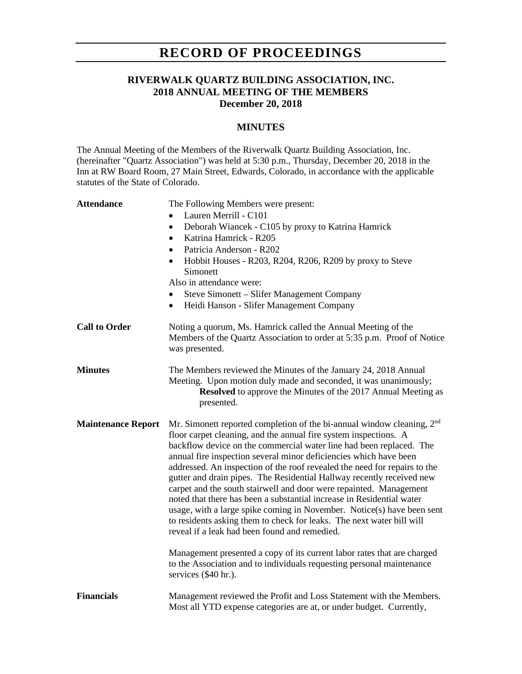## **RECORD OF PROCEEDINGS**

## **RIVERWALK QUARTZ BUILDING ASSOCIATION, INC. 2018 ANNUAL MEETING OF THE MEMBERS December 20, 2018**

#### **MINUTES**

The Annual Meeting of the Members of the Riverwalk Quartz Building Association, Inc. (hereinafter "Quartz Association") was held at 5:30 p.m., Thursday, December 20, 2018 in the Inn at RW Board Room, 27 Main Street, Edwards, Colorado, in accordance with the applicable statutes of the State of Colorado.

| <b>Attendance</b>         | The Following Members were present:<br>Lauren Merrill - C101<br>$\bullet$<br>Deborah Wiancek - C105 by proxy to Katrina Hamrick<br>$\bullet$<br>Katrina Hamrick - R205<br>$\bullet$<br>Patricia Anderson - R202<br>$\bullet$<br>Hobbit Houses - R203, R204, R206, R209 by proxy to Steve<br>Simonett<br>Also in attendance were:<br>Steve Simonett – Slifer Management Company<br>$\bullet$<br>Heidi Hanson - Slifer Management Company<br>$\bullet$                                                                                                                                                                                                                                                                                                                                                        |
|---------------------------|-------------------------------------------------------------------------------------------------------------------------------------------------------------------------------------------------------------------------------------------------------------------------------------------------------------------------------------------------------------------------------------------------------------------------------------------------------------------------------------------------------------------------------------------------------------------------------------------------------------------------------------------------------------------------------------------------------------------------------------------------------------------------------------------------------------|
| <b>Call to Order</b>      | Noting a quorum, Ms. Hamrick called the Annual Meeting of the<br>Members of the Quartz Association to order at 5:35 p.m. Proof of Notice<br>was presented.                                                                                                                                                                                                                                                                                                                                                                                                                                                                                                                                                                                                                                                  |
| <b>Minutes</b>            | The Members reviewed the Minutes of the January 24, 2018 Annual<br>Meeting. Upon motion duly made and seconded, it was unanimously;<br><b>Resolved</b> to approve the Minutes of the 2017 Annual Meeting as<br>presented.                                                                                                                                                                                                                                                                                                                                                                                                                                                                                                                                                                                   |
| <b>Maintenance Report</b> | Mr. Simonett reported completion of the bi-annual window cleaning, 2 <sup>nd</sup><br>floor carpet cleaning, and the annual fire system inspections. A<br>backflow device on the commercial water line had been replaced. The<br>annual fire inspection several minor deficiencies which have been<br>addressed. An inspection of the roof revealed the need for repairs to the<br>gutter and drain pipes. The Residential Hallway recently received new<br>carpet and the south stairwell and door were repainted. Management<br>noted that there has been a substantial increase in Residential water<br>usage, with a large spike coming in November. Notice(s) have been sent<br>to residents asking them to check for leaks. The next water bill will<br>reveal if a leak had been found and remedied. |
|                           | Management presented a copy of its current labor rates that are charged<br>to the Association and to individuals requesting personal maintenance<br>services (\$40 hr.).                                                                                                                                                                                                                                                                                                                                                                                                                                                                                                                                                                                                                                    |
| <b>Financials</b>         | Management reviewed the Profit and Loss Statement with the Members.<br>Most all YTD expense categories are at, or under budget. Currently,                                                                                                                                                                                                                                                                                                                                                                                                                                                                                                                                                                                                                                                                  |